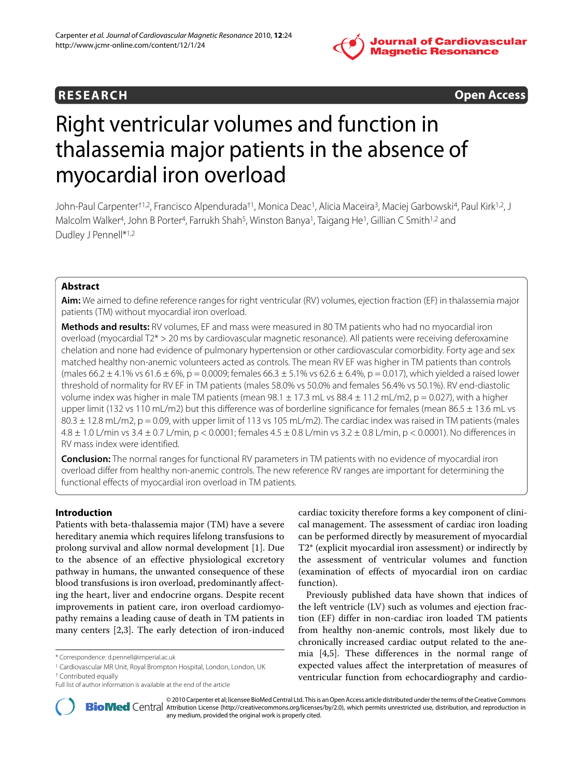

# **RESEARCH Open Access**

# Right ventricular volumes and function in thalassemia major patients in the absence of myocardial iron overload

John-Paul Carpenter<sup>†1,2</sup>, Francisco Alpendurada<sup>†1</sup>, Monica Deac<sup>1</sup>, Alicia Maceira<sup>3</sup>, Maciej Garbowski<sup>4</sup>, Paul Kirk<sup>1,2</sup>, J Malcolm Walker<sup>4</sup>, John B Porter<sup>4</sup>, Farrukh Shah<sup>5</sup>, Winston Banya<sup>1</sup>, Taigang He<sup>1</sup>, Gillian C Smith<sup>1,2</sup> and Dudley J Pennell\*1,2

# **Abstract**

**Aim:** We aimed to define reference ranges for right ventricular (RV) volumes, ejection fraction (EF) in thalassemia major patients (TM) without myocardial iron overload.

**Methods and results:** RV volumes, EF and mass were measured in 80 TM patients who had no myocardial iron overload (myocardial T2\* > 20 ms by cardiovascular magnetic resonance). All patients were receiving deferoxamine chelation and none had evidence of pulmonary hypertension or other cardiovascular comorbidity. Forty age and sex matched healthy non-anemic volunteers acted as controls. The mean RV EF was higher in TM patients than controls (males 66.2 ± 4.1% vs 61.6 ± 6%, p = 0.0009; females 66.3 ± 5.1% vs 62.6 ± 6.4%, p = 0.017), which yielded a raised lower threshold of normality for RV EF in TM patients (males 58.0% vs 50.0% and females 56.4% vs 50.1%). RV end-diastolic volume index was higher in male TM patients (mean  $98.1 \pm 17.3$  mL vs  $88.4 \pm 11.2$  mL/m2, p = 0.027), with a higher upper limit (132 vs 110 mL/m2) but this difference was of borderline significance for females (mean 86.5  $\pm$  13.6 mL vs  $80.3 \pm 12.8$  mL/m2, p = 0.09, with upper limit of 113 vs 105 mL/m2). The cardiac index was raised in TM patients (males 4.8 ± 1.0 L/min vs 3.4 ± 0.7 L/min, p < 0.0001; females 4.5 ± 0.8 L/min vs 3.2 ± 0.8 L/min, p < 0.0001). No differences in RV mass index were identified.

**Conclusion:** The normal ranges for functional RV parameters in TM patients with no evidence of myocardial iron overload differ from healthy non-anemic controls. The new reference RV ranges are important for determining the functional effects of myocardial iron overload in TM patients.

# **Introduction**

Patients with beta-thalassemia major (TM) have a severe hereditary anemia which requires lifelong transfusions to prolong survival and allow normal development [\[1](#page-6-0)]. Due to the absence of an effective physiological excretory pathway in humans, the unwanted consequence of these blood transfusions is iron overload, predominantly affecting the heart, liver and endocrine organs. Despite recent improvements in patient care, iron overload cardiomyopathy remains a leading cause of death in TM patients in many centers [[2](#page-6-1)[,3](#page-6-2)]. The early detection of iron-induced

† Contributed equally

cardiac toxicity therefore forms a key component of clinical management. The assessment of cardiac iron loading can be performed directly by measurement of myocardial T2\* (explicit myocardial iron assessment) or indirectly by the assessment of ventricular volumes and function (examination of effects of myocardial iron on cardiac function).

Previously published data have shown that indices of the left ventricle (LV) such as volumes and ejection fraction (EF) differ in non-cardiac iron loaded TM patients from healthy non-anemic controls, most likely due to chronically increased cardiac output related to the anemia [\[4](#page-6-3)[,5](#page-6-4)]. These differences in the normal range of expected values affect the interpretation of measures of ventricular function from echocardiography and cardio-



2010 Carpenter et al; licensee [BioMed](http://www.biomedcentral.com/) Central Ltd. This is an Open Access article distributed under the terms of the Creative Commons (http://creativecommons.org/licenses/by/2.0), which permits unrestricted use, distributi any medium, provided the original work is properly cited.

<sup>\*</sup> Correspondence: d.pennell@imperial.ac.uk

<sup>&</sup>lt;sup>1</sup> Cardiovascular MR Unit, Royal Brompton Hospital, London, London, UK

Full list of author information is available at the end of the article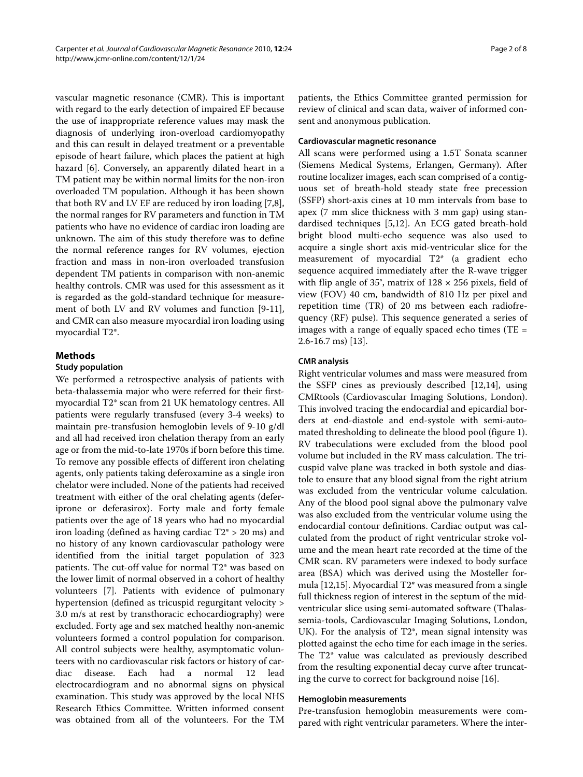vascular magnetic resonance (CMR). This is important with regard to the early detection of impaired EF because the use of inappropriate reference values may mask the diagnosis of underlying iron-overload cardiomyopathy and this can result in delayed treatment or a preventable episode of heart failure, which places the patient at high hazard [[6](#page-6-5)]. Conversely, an apparently dilated heart in a TM patient may be within normal limits for the non-iron overloaded TM population. Although it has been shown that both RV and LV EF are reduced by iron loading [[7,](#page-6-6)[8](#page-6-7)], the normal ranges for RV parameters and function in TM patients who have no evidence of cardiac iron loading are unknown. The aim of this study therefore was to define the normal reference ranges for RV volumes, ejection fraction and mass in non-iron overloaded transfusion dependent TM patients in comparison with non-anemic healthy controls. CMR was used for this assessment as it is regarded as the gold-standard technique for measurement of both LV and RV volumes and function [[9-](#page-6-8)[11](#page-6-9)], and CMR can also measure myocardial iron loading using myocardial T2\*.

# **Methods**

#### **Study population**

We performed a retrospective analysis of patients with beta-thalassemia major who were referred for their firstmyocardial T2\* scan from 21 UK hematology centres. All patients were regularly transfused (every 3-4 weeks) to maintain pre-transfusion hemoglobin levels of 9-10 g/dl and all had received iron chelation therapy from an early age or from the mid-to-late 1970s if born before this time. To remove any possible effects of different iron chelating agents, only patients taking deferoxamine as a single iron chelator were included. None of the patients had received treatment with either of the oral chelating agents (deferiprone or deferasirox). Forty male and forty female patients over the age of 18 years who had no myocardial iron loading (defined as having cardiac T2\* > 20 ms) and no history of any known cardiovascular pathology were identified from the initial target population of 323 patients. The cut-off value for normal T2\* was based on the lower limit of normal observed in a cohort of healthy volunteers [[7\]](#page-6-6). Patients with evidence of pulmonary hypertension (defined as tricuspid regurgitant velocity > 3.0 m/s at rest by transthoracic echocardiography) were excluded. Forty age and sex matched healthy non-anemic volunteers formed a control population for comparison. All control subjects were healthy, asymptomatic volunteers with no cardiovascular risk factors or history of cardiac disease. Each had a normal 12 lead electrocardiogram and no abnormal signs on physical examination. This study was approved by the local NHS Research Ethics Committee. Written informed consent was obtained from all of the volunteers. For the TM

patients, the Ethics Committee granted permission for review of clinical and scan data, waiver of informed consent and anonymous publication.

## **Cardiovascular magnetic resonance**

All scans were performed using a 1.5T Sonata scanner (Siemens Medical Systems, Erlangen, Germany). After routine localizer images, each scan comprised of a contiguous set of breath-hold steady state free precession (SSFP) short-axis cines at 10 mm intervals from base to apex (7 mm slice thickness with 3 mm gap) using standardised techniques [\[5](#page-6-4)[,12](#page-6-10)]. An ECG gated breath-hold bright blood multi-echo sequence was also used to acquire a single short axis mid-ventricular slice for the measurement of myocardial T2\* (a gradient echo sequence acquired immediately after the R-wave trigger with flip angle of 35°, matrix of  $128 \times 256$  pixels, field of view (FOV) 40 cm, bandwidth of 810 Hz per pixel and repetition time (TR) of 20 ms between each radiofrequency (RF) pulse). This sequence generated a series of images with a range of equally spaced echo times (TE  $=$ 2.6-16.7 ms) [\[13](#page-7-0)].

# **CMR analysis**

Right ventricular volumes and mass were measured from the SSFP cines as previously described [\[12](#page-6-10)[,14](#page-7-1)], using CMRtools (Cardiovascular Imaging Solutions, London). This involved tracing the endocardial and epicardial borders at end-diastole and end-systole with semi-automated thresholding to delineate the blood pool (figure [1](#page-2-0)). RV trabeculations were excluded from the blood pool volume but included in the RV mass calculation. The tricuspid valve plane was tracked in both systole and diastole to ensure that any blood signal from the right atrium was excluded from the ventricular volume calculation. Any of the blood pool signal above the pulmonary valve was also excluded from the ventricular volume using the endocardial contour definitions. Cardiac output was calculated from the product of right ventricular stroke volume and the mean heart rate recorded at the time of the CMR scan. RV parameters were indexed to body surface area (BSA) which was derived using the Mosteller formula [[12](#page-6-10),[15\]](#page-7-2). Myocardial T2\* was measured from a single full thickness region of interest in the septum of the midventricular slice using semi-automated software (Thalassemia-tools, Cardiovascular Imaging Solutions, London, UK). For the analysis of T2\*, mean signal intensity was plotted against the echo time for each image in the series. The T2\* value was calculated as previously described from the resulting exponential decay curve after truncating the curve to correct for background noise [[16\]](#page-7-3).

## **Hemoglobin measurements**

Pre-transfusion hemoglobin measurements were compared with right ventricular parameters. Where the inter-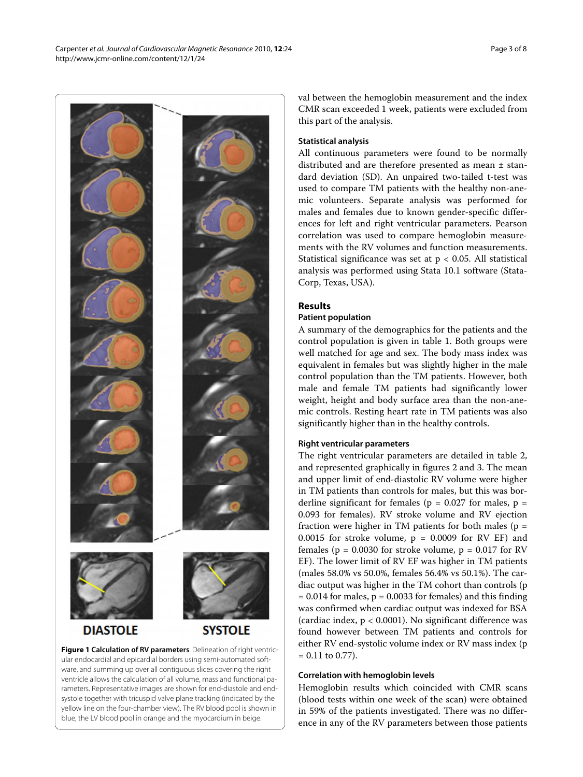Carpenter et al. Journal of Cardiovascular Magnetic Resonance 2010, **12**:24 http://www.jcmr-online.com/content/12/1/24

<span id="page-2-0"></span>

**DIASTOLE** 

# **SYSTOLE**

**Figure 1 Calculation of RV parameters**. Delineation of right ventricular endocardial and epicardial borders using semi-automated software, and summing up over all contiguous slices covering the right ventricle allows the calculation of all volume, mass and functional parameters. Representative images are shown for end-diastole and endsystole together with tricuspid valve plane tracking (indicated by the yellow line on the four-chamber view). The RV blood pool is shown in blue, the LV blood pool in orange and the myocardium in beige.

val between the hemoglobin measurement and the index CMR scan exceeded 1 week, patients were excluded from this part of the analysis.

## **Statistical analysis**

All continuous parameters were found to be normally distributed and are therefore presented as mean ± standard deviation (SD). An unpaired two-tailed t-test was used to compare TM patients with the healthy non-anemic volunteers. Separate analysis was performed for males and females due to known gender-specific differences for left and right ventricular parameters. Pearson correlation was used to compare hemoglobin measurements with the RV volumes and function measurements. Statistical significance was set at p < 0.05. All statistical analysis was performed using Stata 10.1 software (Stata-Corp, Texas, USA).

# **Results**

#### **Patient population**

A summary of the demographics for the patients and the control population is given in table [1](#page-3-0). Both groups were well matched for age and sex. The body mass index was equivalent in females but was slightly higher in the male control population than the TM patients. However, both male and female TM patients had significantly lower weight, height and body surface area than the non-anemic controls. Resting heart rate in TM patients was also significantly higher than in the healthy controls.

# **Right ventricular parameters**

The right ventricular parameters are detailed in table [2](#page-5-0), and represented graphically in figures [2](#page-4-0) and [3](#page-4-1). The mean and upper limit of end-diastolic RV volume were higher in TM patients than controls for males, but this was borderline significant for females ( $p = 0.027$  for males,  $p =$ 0.093 for females). RV stroke volume and RV ejection fraction were higher in TM patients for both males ( $p =$ 0.0015 for stroke volume,  $p = 0.0009$  for RV EF) and females ( $p = 0.0030$  for stroke volume,  $p = 0.017$  for RV EF). The lower limit of RV EF was higher in TM patients (males 58.0% vs 50.0%, females 56.4% vs 50.1%). The cardiac output was higher in the TM cohort than controls (p  $= 0.014$  for males,  $p = 0.0033$  for females) and this finding was confirmed when cardiac output was indexed for BSA (cardiac index,  $p < 0.0001$ ). No significant difference was found however between TM patients and controls for either RV end-systolic volume index or RV mass index (p  $= 0.11$  to 0.77).

#### **Correlation with hemoglobin levels**

Hemoglobin results which coincided with CMR scans (blood tests within one week of the scan) were obtained in 59% of the patients investigated. There was no difference in any of the RV parameters between those patients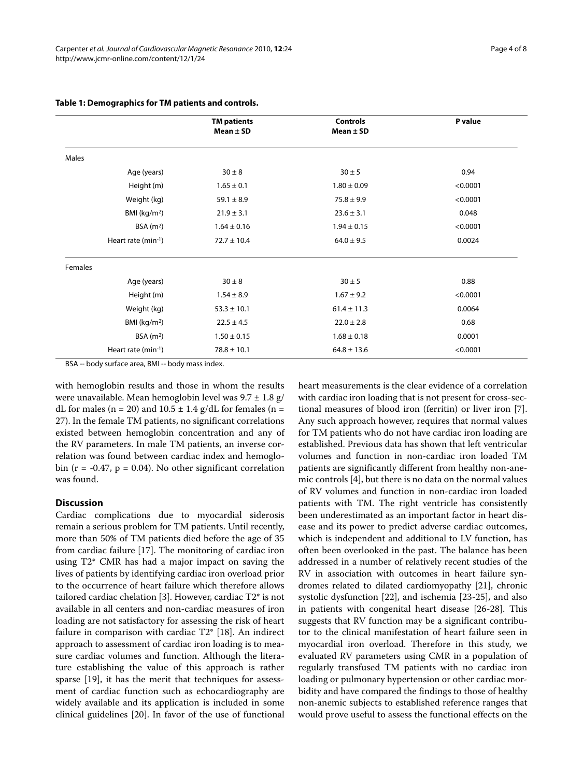|                          | <b>TM patients</b><br>Mean $\pm$ SD | <b>Controls</b><br>Mean $\pm$ SD | P value  |
|--------------------------|-------------------------------------|----------------------------------|----------|
|                          |                                     |                                  |          |
| Males                    |                                     |                                  |          |
| Age (years)              | $30 \pm 8$                          | $30 \pm 5$                       | 0.94     |
| Height (m)               | $1.65 \pm 0.1$                      | $1.80 \pm 0.09$                  | < 0.0001 |
| Weight (kg)              | $59.1 \pm 8.9$                      | $75.8 \pm 9.9$                   | < 0.0001 |
| BMI ( $kg/m2$ )          | $21.9 \pm 3.1$                      | $23.6 \pm 3.1$                   | 0.048    |
| BSA $(m2)$               | $1.64 \pm 0.16$                     | $1.94 \pm 0.15$                  | < 0.0001 |
| Heart rate $(min^{-1})$  | $72.7 \pm 10.4$                     | $64.0 \pm 9.5$                   | 0.0024   |
| Females                  |                                     |                                  |          |
| Age (years)              | $30 \pm 8$                          | $30 \pm 5$                       | 0.88     |
| Height (m)               | $1.54 \pm 8.9$                      | $1.67 \pm 9.2$                   | < 0.0001 |
| Weight (kg)              | $53.3 \pm 10.1$                     | $61.4 \pm 11.3$                  | 0.0064   |
| BMI (kg/m <sup>2</sup> ) | $22.5 \pm 4.5$                      | $22.0 \pm 2.8$                   | 0.68     |
| BSA $(m2)$               | $1.50 \pm 0.15$                     | $1.68 \pm 0.18$                  | 0.0001   |
| Heart rate (min-1)       | $78.8 \pm 10.1$                     | $64.8 \pm 13.6$                  | < 0.0001 |

#### <span id="page-3-0"></span>**Table 1: Demographics for TM patients and controls.**

BSA -- body surface area, BMI -- body mass index.

with hemoglobin results and those in whom the results were unavailable. Mean hemoglobin level was  $9.7 \pm 1.8$  g/ dL for males (n = 20) and  $10.5 \pm 1.4$  g/dL for females (n = 27). In the female TM patients, no significant correlations existed between hemoglobin concentration and any of the RV parameters. In male TM patients, an inverse correlation was found between cardiac index and hemoglobin ( $r = -0.47$ ,  $p = 0.04$ ). No other significant correlation was found.

## **Discussion**

Cardiac complications due to myocardial siderosis remain a serious problem for TM patients. Until recently, more than 50% of TM patients died before the age of 35 from cardiac failure [[17\]](#page-7-4). The monitoring of cardiac iron using T2\* CMR has had a major impact on saving the lives of patients by identifying cardiac iron overload prior to the occurrence of heart failure which therefore allows tailored cardiac chelation [\[3](#page-6-2)]. However, cardiac T2\* is not available in all centers and non-cardiac measures of iron loading are not satisfactory for assessing the risk of heart failure in comparison with cardiac T2\* [\[18](#page-7-5)]. An indirect approach to assessment of cardiac iron loading is to measure cardiac volumes and function. Although the literature establishing the value of this approach is rather sparse [\[19](#page-7-6)], it has the merit that techniques for assessment of cardiac function such as echocardiography are widely available and its application is included in some clinical guidelines [\[20](#page-7-7)]. In favor of the use of functional heart measurements is the clear evidence of a correlation with cardiac iron loading that is not present for cross-sectional measures of blood iron (ferritin) or liver iron [\[7](#page-6-6)]. Any such approach however, requires that normal values for TM patients who do not have cardiac iron loading are established. Previous data has shown that left ventricular volumes and function in non-cardiac iron loaded TM patients are significantly different from healthy non-anemic controls [[4\]](#page-6-3), but there is no data on the normal values of RV volumes and function in non-cardiac iron loaded patients with TM. The right ventricle has consistently been underestimated as an important factor in heart disease and its power to predict adverse cardiac outcomes, which is independent and additional to LV function, has often been overlooked in the past. The balance has been addressed in a number of relatively recent studies of the RV in association with outcomes in heart failure syndromes related to dilated cardiomyopathy [\[21](#page-7-8)], chronic systolic dysfunction [[22\]](#page-7-9), and ischemia [\[23](#page-7-10)-[25\]](#page-7-11), and also in patients with congenital heart disease [\[26-](#page-7-12)[28](#page-7-13)]. This suggests that RV function may be a significant contributor to the clinical manifestation of heart failure seen in myocardial iron overload. Therefore in this study, we evaluated RV parameters using CMR in a population of regularly transfused TM patients with no cardiac iron loading or pulmonary hypertension or other cardiac morbidity and have compared the findings to those of healthy non-anemic subjects to established reference ranges that would prove useful to assess the functional effects on the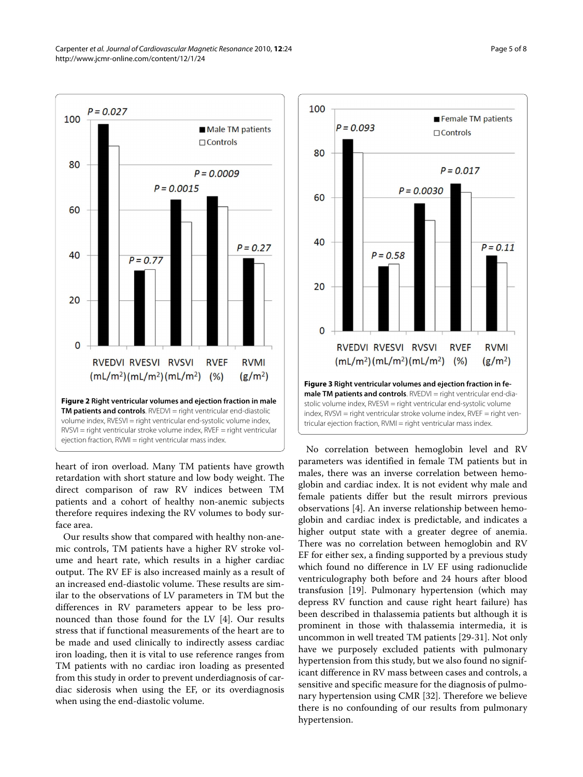<span id="page-4-0"></span>

heart of iron overload. Many TM patients have growth retardation with short stature and low body weight. The direct comparison of raw RV indices between TM patients and a cohort of healthy non-anemic subjects therefore requires indexing the RV volumes to body surface area.

Our results show that compared with healthy non-anemic controls, TM patients have a higher RV stroke volume and heart rate, which results in a higher cardiac output. The RV EF is also increased mainly as a result of an increased end-diastolic volume. These results are similar to the observations of LV parameters in TM but the differences in RV parameters appear to be less pronounced than those found for the LV [\[4](#page-6-3)]. Our results stress that if functional measurements of the heart are to be made and used clinically to indirectly assess cardiac iron loading, then it is vital to use reference ranges from TM patients with no cardiac iron loading as presented from this study in order to prevent underdiagnosis of cardiac siderosis when using the EF, or its overdiagnosis when using the end-diastolic volume.

<span id="page-4-1"></span>

No correlation between hemoglobin level and RV parameters was identified in female TM patients but in males, there was an inverse correlation between hemoglobin and cardiac index. It is not evident why male and female patients differ but the result mirrors previous observations [[4\]](#page-6-3). An inverse relationship between hemoglobin and cardiac index is predictable, and indicates a higher output state with a greater degree of anemia. There was no correlation between hemoglobin and RV EF for either sex, a finding supported by a previous study which found no difference in LV EF using radionuclide ventriculography both before and 24 hours after blood transfusion [\[19\]](#page-7-6). Pulmonary hypertension (which may depress RV function and cause right heart failure) has been described in thalassemia patients but although it is prominent in those with thalassemia intermedia, it is uncommon in well treated TM patients [\[29](#page-7-14)-[31\]](#page-7-15). Not only have we purposely excluded patients with pulmonary hypertension from this study, but we also found no significant difference in RV mass between cases and controls, a sensitive and specific measure for the diagnosis of pulmonary hypertension using CMR [[32\]](#page-7-16). Therefore we believe there is no confounding of our results from pulmonary hypertension.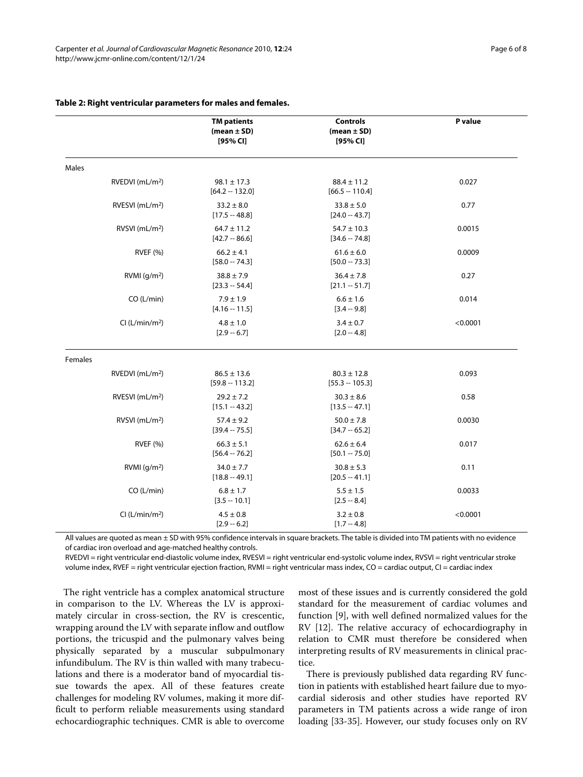|                               | <b>TM patients</b><br>(mean $\pm$ SD)<br>$[95%$ CI] | <b>Controls</b><br>(mean $\pm$ SD)<br>$[95%$ CI] | P value  |
|-------------------------------|-----------------------------------------------------|--------------------------------------------------|----------|
| Males                         |                                                     |                                                  |          |
| $RVEDVI$ (mL/m <sup>2</sup> ) | $98.1 \pm 17.3$<br>$[64.2 - 132.0]$                 | $88.4 \pm 11.2$<br>$[66.5 - 110.4]$              | 0.027    |
| RVESVI $(mL/m2)$              | $33.2 \pm 8.0$<br>$[17.5 - 48.8]$                   | $33.8 \pm 5.0$<br>$[24.0 - 43.7]$                | 0.77     |
| RVSVI (mL/m <sup>2</sup> )    | $64.7 \pm 11.2$<br>$[42.7 - 86.6]$                  | $54.7 \pm 10.3$<br>$[34.6 - 74.8]$               | 0.0015   |
| <b>RVEF (%)</b>               | $66.2 \pm 4.1$<br>$[58.0 - 74.3]$                   | $61.6 \pm 6.0$<br>$[50.0 - 73.3]$                | 0.0009   |
| RVMI(q/m <sup>2</sup> )       | $38.8 \pm 7.9$<br>$[23.3 - 54.4]$                   | $36.4 \pm 7.8$<br>$[21.1 - 51.7]$                | 0.27     |
| CO (L/min)                    | $7.9 \pm 1.9$<br>$[4.16 - 11.5]$                    | $6.6 \pm 1.6$<br>$[3.4 - 9.8]$                   | 0.014    |
| Cl (L/min/m <sup>2</sup> )    | $4.8 \pm 1.0$<br>$[2.9 - 6.7]$                      | $3.4 \pm 0.7$<br>$[2.0 - 4.8]$                   | < 0.0001 |
| Females                       |                                                     |                                                  |          |
| RVEDVI (mL/m <sup>2</sup> )   | $86.5 \pm 13.6$<br>$[59.8 - 113.2]$                 | $80.3 \pm 12.8$<br>$[55.3 - 105.3]$              | 0.093    |
| RVESVI (mL/m <sup>2</sup> )   | $29.2 \pm 7.2$<br>$[15.1 - 43.2]$                   | $30.3 \pm 8.6$<br>$[13.5 - 47.1]$                | 0.58     |
| RVSVI (mL/m <sup>2</sup> )    | $57.4 \pm 9.2$<br>$[39.4 - 75.5]$                   | $50.0 \pm 7.8$<br>$[34.7 - 65.2]$                | 0.0030   |
| <b>RVEF (%)</b>               | $66.3 \pm 5.1$<br>$[56.4 - 76.2]$                   | $62.6 \pm 6.4$<br>$[50.1 - 75.0]$                | 0.017    |
| RVMI(g/m <sup>2</sup> )       | $34.0 \pm 7.7$<br>$[18.8 - 49.1]$                   | $30.8 \pm 5.3$<br>$[20.5 - 41.1]$                | 0.11     |
| CO (L/min)                    | $6.8 \pm 1.7$<br>$[3.5 - 10.1]$                     | $5.5 \pm 1.5$<br>$[2.5 - 8.4]$                   | 0.0033   |
| Cl (L/min/m <sup>2</sup> )    | $4.5 \pm 0.8$<br>$[2.9 - 6.2]$                      | $3.2 \pm 0.8$<br>$[1.7 - 4.8]$                   | < 0.0001 |

#### <span id="page-5-0"></span>**Table 2: Right ventricular parameters for males and females.**

All values are quoted as mean ± SD with 95% confidence intervals in square brackets. The table is divided into TM patients with no evidence of cardiac iron overload and age-matched healthy controls.

RVEDVI = right ventricular end-diastolic volume index, RVESVI = right ventricular end-systolic volume index, RVSVI = right ventricular stroke volume index, RVEF = right ventricular ejection fraction, RVMI = right ventricular mass index, CO = cardiac output, CI = cardiac index

The right ventricle has a complex anatomical structure in comparison to the LV. Whereas the LV is approximately circular in cross-section, the RV is crescentic, wrapping around the LV with separate inflow and outflow portions, the tricuspid and the pulmonary valves being physically separated by a muscular subpulmonary infundibulum. The RV is thin walled with many trabeculations and there is a moderator band of myocardial tissue towards the apex. All of these features create challenges for modeling RV volumes, making it more difficult to perform reliable measurements using standard echocardiographic techniques. CMR is able to overcome most of these issues and is currently considered the gold standard for the measurement of cardiac volumes and function [[9\]](#page-6-8), with well defined normalized values for the RV [\[12\]](#page-6-10). The relative accuracy of echocardiography in relation to CMR must therefore be considered when interpreting results of RV measurements in clinical practice.

There is previously published data regarding RV function in patients with established heart failure due to myocardial siderosis and other studies have reported RV parameters in TM patients across a wide range of iron loading [\[33](#page-7-17)-[35\]](#page-7-18). However, our study focuses only on RV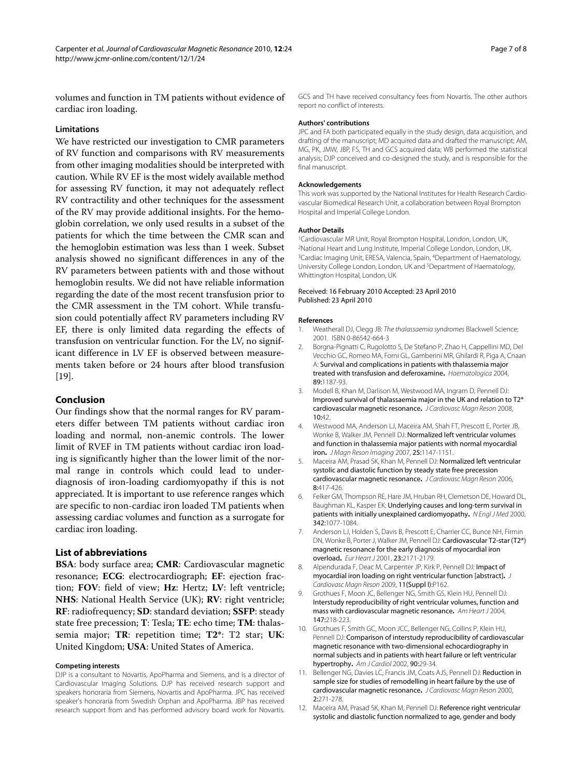volumes and function in TM patients without evidence of cardiac iron loading.

#### **Limitations**

We have restricted our investigation to CMR parameters of RV function and comparisons with RV measurements from other imaging modalities should be interpreted with caution. While RV EF is the most widely available method for assessing RV function, it may not adequately reflect RV contractility and other techniques for the assessment of the RV may provide additional insights. For the hemoglobin correlation, we only used results in a subset of the patients for which the time between the CMR scan and the hemoglobin estimation was less than 1 week. Subset analysis showed no significant differences in any of the RV parameters between patients with and those without hemoglobin results. We did not have reliable information regarding the date of the most recent transfusion prior to the CMR assessment in the TM cohort. While transfusion could potentially affect RV parameters including RV EF, there is only limited data regarding the effects of transfusion on ventricular function. For the LV, no significant difference in LV EF is observed between measurements taken before or 24 hours after blood transfusion [[19\]](#page-7-6).

#### **Conclusion**

Our findings show that the normal ranges for RV parameters differ between TM patients without cardiac iron loading and normal, non-anemic controls. The lower limit of RVEF in TM patients without cardiac iron loading is significantly higher than the lower limit of the normal range in controls which could lead to underdiagnosis of iron-loading cardiomyopathy if this is not appreciated. It is important to use reference ranges which are specific to non-cardiac iron loaded TM patients when assessing cardiac volumes and function as a surrogate for cardiac iron loading.

#### **List of abbreviations**

**BSA**: body surface area; **CMR**: Cardiovascular magnetic resonance; **ECG**: electrocardiograph; **EF**: ejection fraction; **FOV**: field of view; **Hz**: Hertz; **LV**: left ventricle; **NHS**: National Health Service (UK); **RV**: right ventricle; **RF**: radiofrequency; **SD**: standard deviation; **SSFP**: steady state free precession; **T**: Tesla; **TE**: echo time; **TM**: thalassemia major; **TR**: repetition time; **T2\***: T2 star; **UK**: United Kingdom; **USA**: United States of America.

#### **Competing interests**

DJP is a consultant to Novartis, ApoPharma and Siemens, and is a director of Cardiovascular Imaging Solutions. DJP has received research support and speakers honoraria from Siemens, Novartis and ApoPharma. JPC has received speaker's honoraria from Swedish Orphan and ApoPharma. JBP has received research support from and has performed advisory board work for Novartis. GCS and TH have received consultancy fees from Novartis. The other authors report no conflict of interests.

#### **Authors' contributions**

JPC and FA both participated equally in the study design, data acquisition, and drafting of the manuscript; MD acquired data and drafted the manuscript; AM, MG, PK, JMW, JBP, FS, TH and GCS acquired data; WB performed the statistical analysis; DJP conceived and co-designed the study, and is responsible for the final manuscript.

#### **Acknowledgements**

This work was supported by the National Institutes for Health Research Cardiovascular Biomedical Research Unit, a collaboration between Royal Brompton Hospital and Imperial College London.

#### **Author Details**

1Cardiovascular MR Unit, Royal Brompton Hospital, London, London, UK, 2National Heart and Lung Institute, Imperial College London, London, UK, <sup>3</sup>Cardiac Imaging Unit, ERESA, Valencia, Spain, <sup>4</sup>Department of Haematology, University College London, London, UK and 5Department of Haematology, Whittington Hospital, London, UK

#### Received: 16 February 2010 Accepted: 23 April 2010 Published: 23 April 2010

#### **References**

- <span id="page-6-0"></span>1. Weatherall DJ, Clegg JB: The thalassaemia syndromes Blackwell Science; 2001. ISBN 0-86542-664-3
- <span id="page-6-1"></span>2. Borgna-Pignatti C, Rugolotto S, De Stefano P, Zhao H, Cappellini MD, Del Vecchio GC, Romeo MA, Forni GL, Gamberini MR, Ghilardi R, Piga A, Cnaan A: Survival and complications in patients with thalassemia major treated with transfusion and deferoxamine**.** Haematologica 2004, 89:1187-93.
- <span id="page-6-2"></span>3. Modell B, Khan M, Darlison M, Westwood MA, Ingram D, Pennell DJ: Improved survival of thalassaemia major in the UK and relation to T2\* cardiovascular magnetic resonance**[.](http://www.ncbi.nlm.nih.gov/entrez/query.fcgi?cmd=Retrieve&db=PubMed&dopt=Abstract&list_uids=18817553)** J Cardiovasc Magn Reson 2008,  $10:42$
- <span id="page-6-3"></span>4. Westwood MA, Anderson LJ, Maceira AM, Shah FT, Prescott E, Porter JB, Wonke B, Walker JM, Pennell DJ: Normalized left ventricular volumes and function in thalassemia major patients with normal myocardial iron**.** J Magn Reson Imaging 2007, 25:1147-1151.
- <span id="page-6-4"></span>Maceira AM, Prasad SK, Khan M, Pennell DJ: Normalized left ventricular systolic and diastolic function by steady state free precession cardiovascular magnetic resonance**[.](http://www.ncbi.nlm.nih.gov/entrez/query.fcgi?cmd=Retrieve&db=PubMed&dopt=Abstract&list_uids=16755827)** J Cardiovasc Magn Reson 2006, 8:417-426.
- <span id="page-6-5"></span>6. Felker GM, Thompson RE, Hare JM, Hruban RH, Clemetson DE, Howard DL, Baughman KL, Kasper EK: Underlying causes and long-term survival in patients with initially unexplained cardiomyopathy**.** N Engl J Med 2000, 342:1077-1084.
- <span id="page-6-6"></span>7. Anderson LJ, Holden S, Davis B, Prescott E, Charrier CC, Bunce NH, Firmin DN, Wonke B, Porter J, Walker JM, Pennell DJ: Cardiovascular T2-star (T2\*) magnetic resonance for the early diagnosis of myocardial iron overload**.** Eur Heart J 2001, 23:2171-2179.
- <span id="page-6-7"></span>8. Alpendurada F, Deac M, Carpenter JP, Kirk P, Pennell DJ: Impact of myocardial iron loading on right ventricular function [abstract]**.** J Cardiovasc Magn Reson 2009, 11(Suppl I):P162.
- <span id="page-6-8"></span>9. Grothues F, Moon JC, Bellenger NG, Smith GS, Klein HU, Pennell DJ: Interstudy reproducibility of right ventricular volumes, function and mass with cardiovascular magnetic resonance**.** Am Heart J 2004, 147:218-223.
- 10. Grothues F, Smith GC, Moon JCC, Bellenger NG, Collins P, Klein HU, Pennell DJ: Comparison of interstudy reproducibility of cardiovascular magnetic resonance with two-dimensional echocardiography in normal subjects and in patients with heart failure or left ventricular hypertrophy**.** Am J Cardiol 2002, 90:29-34.
- <span id="page-6-9"></span>11. Bellenger NG, Davies LC, Francis JM, Coats AJS, Pennell DJ: Reduction in sample size for studies of remodelling in heart failure by the use of cardiovascular magnetic resonance**[.](http://www.ncbi.nlm.nih.gov/entrez/query.fcgi?cmd=Retrieve&db=PubMed&dopt=Abstract&list_uids=11545126)** J Cardiovasc Magn Reson 2000, 2:271-278.
- <span id="page-6-10"></span>12. Maceira AM, Prasad SK, Khan M, Pennell DJ: Reference right ventricular systolic and diastolic function normalized to age, gender and body